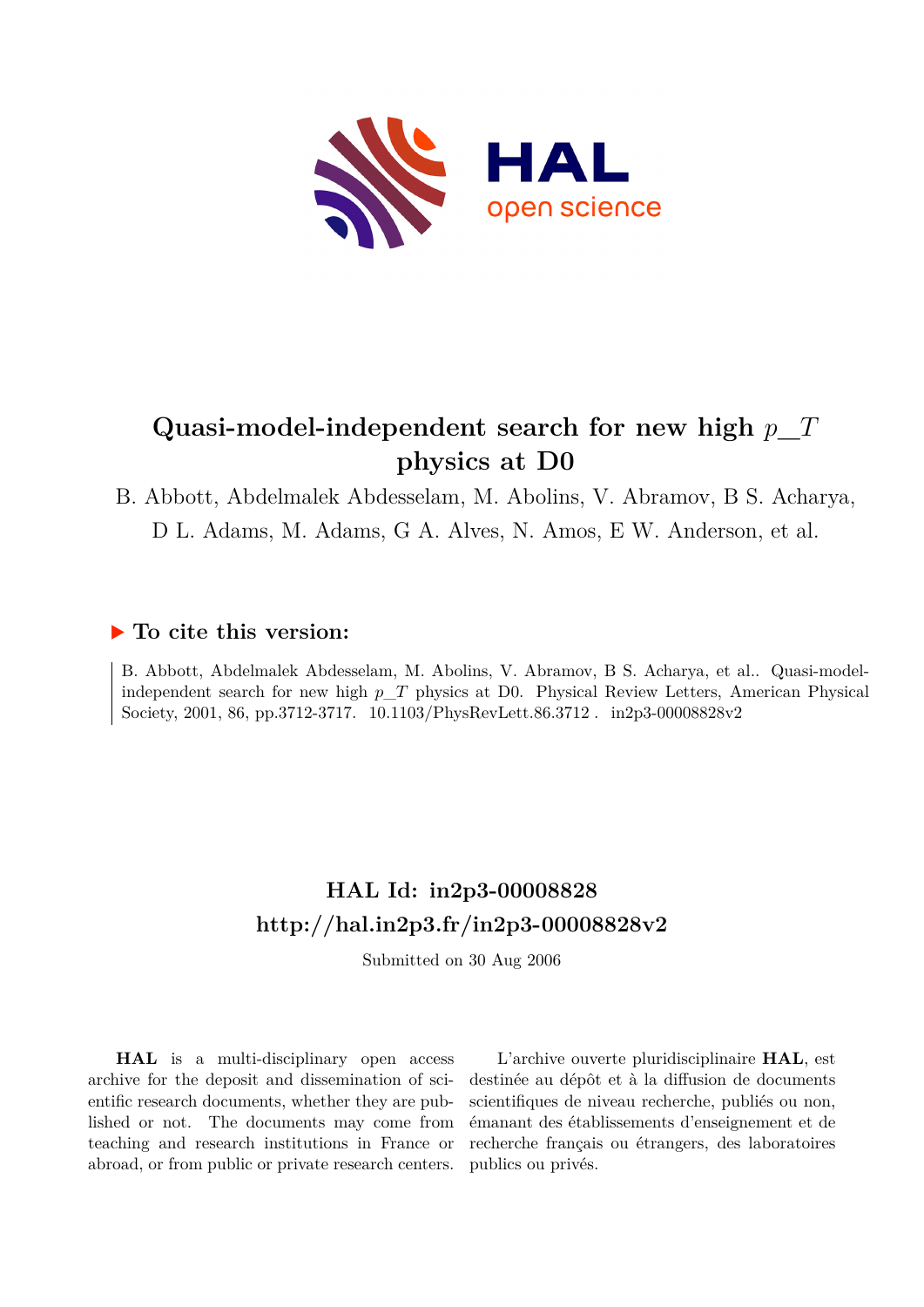

# **Quasi-model-independent search for new high** *p***\_***T* **physics at D0**

## B. Abbott, Abdelmalek Abdesselam, M. Abolins, V. Abramov, B S. Acharya, D L. Adams, M. Adams, G A. Alves, N. Amos, E W. Anderson, et al.

### **To cite this version:**

B. Abbott, Abdelmalek Abdesselam, M. Abolins, V. Abramov, B S. Acharya, et al.. Quasi-modelindependent search for new high *p*\_*T* physics at D0. Physical Review Letters, American Physical  $\text{Society, 2001, 86, pp.3712-3717.}\quad \text{10.1103/PhysRevLett.86.3712}\ .\quad \text{in2p3-00008828v2}$ 

### **HAL Id: in2p3-00008828 <http://hal.in2p3.fr/in2p3-00008828v2>**

Submitted on 30 Aug 2006

**HAL** is a multi-disciplinary open access archive for the deposit and dissemination of scientific research documents, whether they are published or not. The documents may come from teaching and research institutions in France or abroad, or from public or private research centers.

L'archive ouverte pluridisciplinaire **HAL**, est destinée au dépôt et à la diffusion de documents scientifiques de niveau recherche, publiés ou non, émanant des établissements d'enseignement et de recherche français ou étrangers, des laboratoires publics ou privés.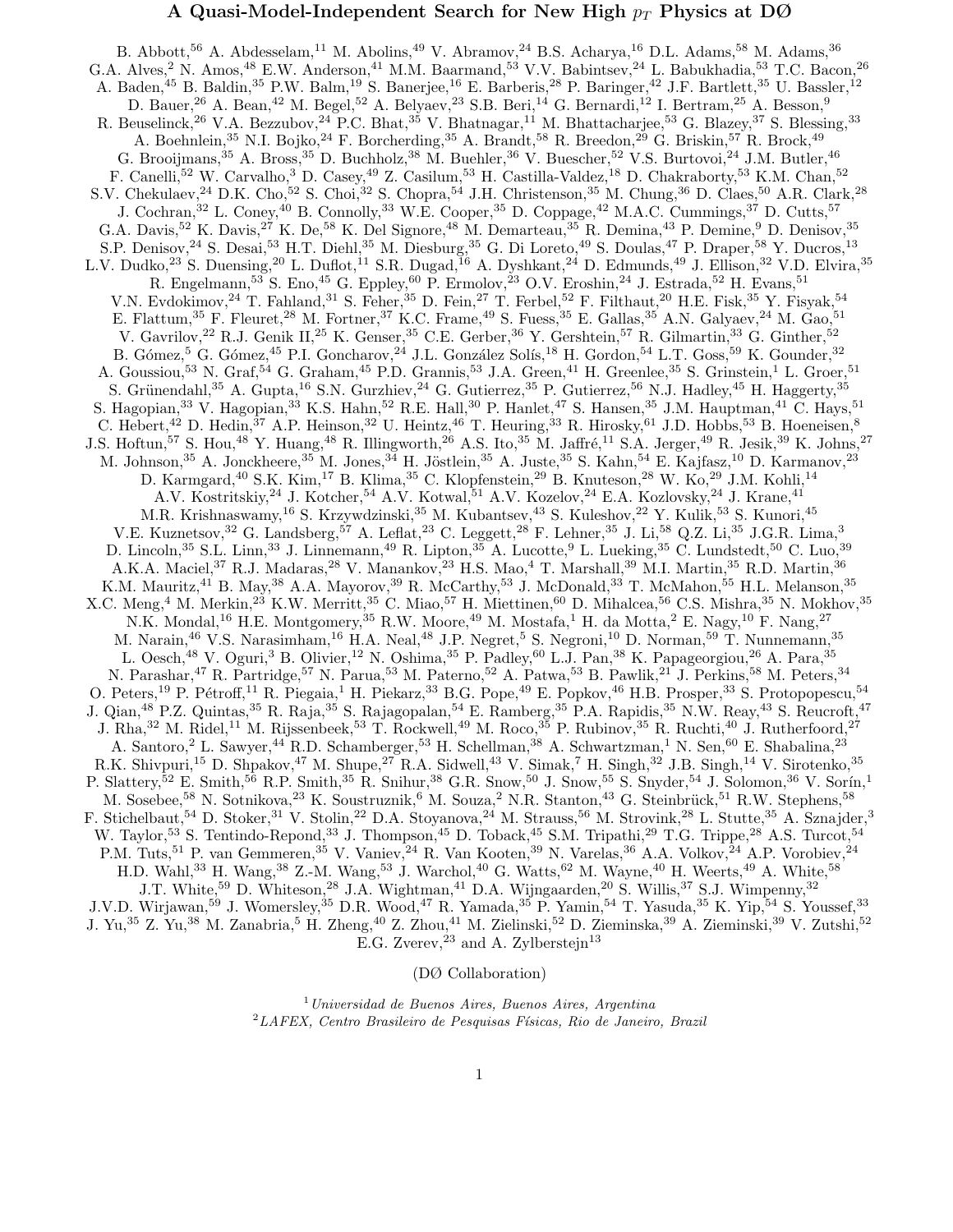#### A Quasi-Model-Independent Search for New High  $p_T$  Physics at DØ

B. Abbott,<sup>56</sup> A. Abdesselam,<sup>11</sup> M. Abolins,<sup>49</sup> V. Abramov,<sup>24</sup> B.S. Acharya,<sup>16</sup> D.L. Adams,<sup>58</sup> M. Adams,<sup>36</sup> G.A. Alves,<sup>2</sup> N. Amos,<sup>48</sup> E.W. Anderson,<sup>41</sup> M.M. Baarmand,<sup>53</sup> V.V. Babintsev,<sup>24</sup> L. Babukhadia,<sup>53</sup> T.C. Bacon,<sup>26</sup> A. Baden,<sup>45</sup> B. Baldin,<sup>35</sup> P.W. Balm,<sup>19</sup> S. Banerjee,<sup>16</sup> E. Barberis,<sup>28</sup> P. Baringer,<sup>42</sup> J.F. Bartlett,<sup>35</sup> U. Bassler,<sup>12</sup> D. Bauer,<sup>26</sup> A. Bean,<sup>42</sup> M. Begel,<sup>52</sup> A. Belyaev,<sup>23</sup> S.B. Beri,<sup>14</sup> G. Bernardi,<sup>12</sup> I. Bertram,<sup>25</sup> A. Besson,<sup>9</sup> R. Beuselinck,<sup>26</sup> V.A. Bezzubov,<sup>24</sup> P.C. Bhat,<sup>35</sup> V. Bhatnagar,<sup>11</sup> M. Bhattacharjee,<sup>53</sup> G. Blazey,<sup>37</sup> S. Blessing,<sup>33</sup> A. Boehnlein,<sup>35</sup> N.I. Bojko,<sup>24</sup> F. Borcherding,<sup>35</sup> A. Brandt,<sup>58</sup> R. Breedon,<sup>29</sup> G. Briskin,<sup>57</sup> R. Brock,<sup>49</sup> G. Brooijmans,  $35$  A. Bross,  $35$  D. Buchholz,  $38$  M. Buehler,  $36$  V. Buescher,  $52$  V.S. Burtovoi,  $24$  J.M. Butler,  $46$ F. Canelli,<sup>52</sup> W. Carvalho,<sup>3</sup> D. Casey,<sup>49</sup> Z. Casilum,<sup>53</sup> H. Castilla-Valdez,<sup>18</sup> D. Chakraborty,<sup>53</sup> K.M. Chan,<sup>52</sup> S.V. Chekulaev,<sup>24</sup> D.K. Cho,<sup>52</sup> S. Choi,<sup>32</sup> S. Chopra,<sup>54</sup> J.H. Christenson,<sup>35</sup> M. Chung,<sup>36</sup> D. Claes,<sup>50</sup> A.R. Clark,<sup>28</sup> J. Cochran,<sup>32</sup> L. Coney,<sup>40</sup> B. Connolly,<sup>33</sup> W.E. Cooper,<sup>35</sup> D. Coppage,<sup>42</sup> M.A.C. Cummings,<sup>37</sup> D. Cutts,<sup>57</sup> G.A. Davis,  $52$  K. Davis,  $27$  K. De,  $58$  K. Del Signore,  $48$  M. Demarteau,  $35$  R. Demina,  $43$  P. Demine,  $9$  D. Denisov,  $35$ S.P. Denisov,<sup>24</sup> S. Desai,<sup>53</sup> H.T. Diehl,<sup>35</sup> M. Diesburg,<sup>35</sup> G. Di Loreto,<sup>49</sup> S. Doulas,<sup>47</sup> P. Draper,<sup>58</sup> Y. Ducros,<sup>13</sup> L.V. Dudko,<sup>23</sup> S. Duensing,<sup>20</sup> L. Duflot,<sup>11</sup> S.R. Dugad,<sup>16</sup> A. Dyshkant,<sup>24</sup> D. Edmunds,<sup>49</sup> J. Ellison,<sup>32</sup> V.D. Elvira,<sup>35</sup> R. Engelmann,<sup>53</sup> S. Eno,<sup>45</sup> G. Eppley,<sup>60</sup> P. Ermolov,<sup>23</sup> O.V. Eroshin,<sup>24</sup> J. Estrada,<sup>52</sup> H. Evans,<sup>51</sup> V.N. Evdokimov,<sup>24</sup> T. Fahland,<sup>31</sup> S. Feher,<sup>35</sup> D. Fein,<sup>27</sup> T. Ferbel,<sup>52</sup> F. Filthaut,<sup>20</sup> H.E. Fisk,<sup>35</sup> Y. Fisyak,<sup>54</sup> E. Flattum,<sup>35</sup> F. Fleuret,<sup>28</sup> M. Fortner,<sup>37</sup> K.C. Frame,<sup>49</sup> S. Fuess,<sup>35</sup> E. Gallas,<sup>35</sup> A.N. Galyaev,<sup>24</sup> M. Gao,<sup>51</sup> V. Gavrilov,<sup>22</sup> R.J. Genik II,<sup>25</sup> K. Genser,<sup>35</sup> C.E. Gerber,<sup>36</sup> Y. Gershtein,<sup>57</sup> R. Gilmartin,<sup>33</sup> G. Ginther,<sup>52</sup> B. Gómez,<sup>5</sup> G. Gómez,<sup>45</sup> P.I. Goncharov,<sup>24</sup> J.L. González Solís,<sup>18</sup> H. Gordon,<sup>54</sup> L.T. Goss,<sup>59</sup> K. Gounder,<sup>32</sup> A. Goussiou,<sup>53</sup> N. Graf,<sup>54</sup> G. Graham,<sup>45</sup> P.D. Grannis,<sup>53</sup> J.A. Green,<sup>41</sup> H. Greenlee,<sup>35</sup> S. Grinstein,<sup>1</sup> L. Groer,<sup>51</sup> S. Grünendahl, $35$  A. Gupta,  $^{16}$  S.N. Gurzhiev,  $^{24}$  G. Gutierrez,  $^{35}$  P. Gutierrez,  $^{56}$  N.J. Hadley,  $^{45}$  H. Haggerty,  $^{35}$ S. Hagopian,<sup>33</sup> V. Hagopian,<sup>33</sup> K.S. Hahn,<sup>52</sup> R.E. Hall,<sup>30</sup> P. Hanlet,<sup>47</sup> S. Hansen,<sup>35</sup> J.M. Hauptman,<sup>41</sup> C. Hays,<sup>51</sup> C. Hebert,<sup>42</sup> D. Hedin,<sup>37</sup> A.P. Heinson,<sup>32</sup> U. Heintz,<sup>46</sup> T. Heuring,<sup>33</sup> R. Hirosky,<sup>61</sup> J.D. Hobbs,<sup>53</sup> B. Hoeneisen,<sup>8</sup> J.S. Hoftun,<sup>57</sup> S. Hou,<sup>48</sup> Y. Huang,<sup>48</sup> R. Illingworth,<sup>26</sup> A.S. Ito,<sup>35</sup> M. Jaffré,<sup>11</sup> S.A. Jerger,<sup>49</sup> R. Jesik,<sup>39</sup> K. Johns,<sup>27</sup> M. Johnson,<sup>35</sup> A. Jonckheere,<sup>35</sup> M. Jones,<sup>34</sup> H. Jöstlein,<sup>35</sup> A. Juste,<sup>35</sup> S. Kahn,<sup>54</sup> E. Kajfasz,<sup>10</sup> D. Karmanov,<sup>23</sup> D. Karmgard,<sup>40</sup> S.K. Kim,<sup>17</sup> B. Klima,<sup>35</sup> C. Klopfenstein,<sup>29</sup> B. Knuteson,<sup>28</sup> W. Ko,<sup>29</sup> J.M. Kohli,<sup>14</sup> A.V. Kostritskiy,<sup>24</sup> J. Kotcher,<sup>54</sup> A.V. Kotwal,<sup>51</sup> A.V. Kozelov,<sup>24</sup> E.A. Kozlovsky,<sup>24</sup> J. Krane,<sup>41</sup> M.R. Krishnaswamy,<sup>16</sup> S. Krzywdzinski,<sup>35</sup> M. Kubantsev,<sup>43</sup> S. Kuleshov,<sup>22</sup> Y. Kulik,<sup>53</sup> S. Kunori,<sup>45</sup> V.E. Kuznetsov,<sup>32</sup> G. Landsberg,<sup>57</sup> A. Leflat,<sup>23</sup> C. Leggett,<sup>28</sup> F. Lehner,<sup>35</sup> J. Li,<sup>58</sup> Q.Z. Li,<sup>35</sup> J.G.R. Lima,<sup>3</sup> D. Lincoln,<sup>35</sup> S.L. Linn,<sup>33</sup> J. Linnemann,<sup>49</sup> R. Lipton,<sup>35</sup> A. Lucotte,<sup>9</sup> L. Lueking,<sup>35</sup> C. Lundstedt,<sup>50</sup> C. Luo,<sup>39</sup> A.K.A. Maciel,<sup>37</sup> R.J. Madaras,<sup>28</sup> V. Manankov,<sup>23</sup> H.S. Mao,<sup>4</sup> T. Marshall,<sup>39</sup> M.I. Martin,<sup>35</sup> R.D. Martin,<sup>36</sup> K.M. Mauritz,<sup>41</sup> B. May,<sup>38</sup> A.A. Mayorov,<sup>39</sup> R. McCarthy,<sup>53</sup> J. McDonald,<sup>33</sup> T. McMahon,<sup>55</sup> H.L. Melanson,<sup>35</sup> X.C. Meng,<sup>4</sup> M. Merkin,<sup>23</sup> K.W. Merritt,<sup>35</sup> C. Miao,<sup>57</sup> H. Miettinen,<sup>60</sup> D. Mihalcea,<sup>56</sup> C.S. Mishra,<sup>35</sup> N. Mokhov,<sup>35</sup> N.K. Mondal,<sup>16</sup> H.E. Montgomery,<sup>35</sup> R.W. Moore,<sup>49</sup> M. Mostafa,<sup>1</sup> H. da Motta,<sup>2</sup> E. Nagy,<sup>10</sup> F. Nang,<sup>27</sup> M. Narain,<sup>46</sup> V.S. Narasimham,<sup>16</sup> H.A. Neal,<sup>48</sup> J.P. Negret,<sup>5</sup> S. Negroni,<sup>10</sup> D. Norman,<sup>59</sup> T. Nunnemann,<sup>35</sup> L. Oesch, <sup>48</sup> V. Oguri, <sup>3</sup> B. Olivier, <sup>12</sup> N. Oshima, <sup>35</sup> P. Padley, <sup>60</sup> L.J. Pan, <sup>38</sup> K. Papageorgiou, <sup>26</sup> A. Para, <sup>35</sup> N. Parashar,<sup>47</sup> R. Partridge,<sup>57</sup> N. Parua,<sup>53</sup> M. Paterno,<sup>52</sup> A. Patwa,<sup>53</sup> B. Pawlik,<sup>21</sup> J. Perkins,<sup>58</sup> M. Peters,<sup>34</sup> O. Peters,<sup>19</sup> P. Pétroff,<sup>11</sup> R. Piegaia,<sup>1</sup> H. Piekarz,<sup>33</sup> B.G. Pope,<sup>49</sup> E. Popkov,<sup>46</sup> H.B. Prosper,<sup>33</sup> S. Protopopescu,<sup>54</sup> J. Qian,<sup>48</sup> P.Z. Quintas,<sup>35</sup> R. Raja,<sup>35</sup> S. Rajagopalan,<sup>54</sup> E. Ramberg,<sup>35</sup> P.A. Rapidis,<sup>35</sup> N.W. Reay,<sup>43</sup> S. Reucroft,<sup>47</sup> J. Rha,<sup>32</sup> M. Ridel,<sup>11</sup> M. Rijssenbeek,<sup>53</sup> T. Rockwell,<sup>49</sup> M. Roco,<sup>35</sup> P. Rubinov,<sup>35</sup> R. Ruchti,<sup>40</sup> J. Rutherfoord,<sup>27</sup> A. Santoro,<sup>2</sup> L. Sawyer,<sup>44</sup> R.D. Schamberger,<sup>53</sup> H. Schellman,<sup>38</sup> A. Schwartzman,<sup>1</sup> N. Sen,<sup>60</sup> E. Shabalina,<sup>23</sup> R.K. Shivpuri,<sup>15</sup> D. Shpakov,<sup>47</sup> M. Shupe,<sup>27</sup> R.A. Sidwell,<sup>43</sup> V. Simak,<sup>7</sup> H. Singh,<sup>32</sup> J.B. Singh,<sup>14</sup> V. Sirotenko,<sup>35</sup> P. Slattery,<sup>52</sup> E. Smith,<sup>56</sup> R.P. Smith,<sup>35</sup> R. Snihur,<sup>38</sup> G.R. Snow,<sup>50</sup> J. Snow,<sup>55</sup> S. Snyder,<sup>54</sup> J. Solomon,<sup>36</sup> V. Sorín,<sup>1</sup> M. Sosebee,<sup>58</sup> N. Sotnikova,<sup>23</sup> K. Soustruznik,<sup>6</sup> M. Souza,<sup>2</sup> N.R. Stanton,<sup>43</sup> G. Steinbrück,<sup>51</sup> R.W. Stephens,<sup>58</sup> F. Stichelbaut,<sup>54</sup> D. Stoker,<sup>31</sup> V. Stolin,<sup>22</sup> D.A. Stoyanova,<sup>24</sup> M. Strauss,<sup>56</sup> M. Strovink,<sup>28</sup> L. Stutte,<sup>35</sup> A. Sznajder,<sup>3</sup> W. Taylor,<sup>53</sup> S. Tentindo-Repond,<sup>33</sup> J. Thompson,<sup>45</sup> D. Toback,<sup>45</sup> S.M. Tripathi,<sup>29</sup> T.G. Trippe,<sup>28</sup> A.S. Turcot,<sup>54</sup> P.M. Tuts,<sup>51</sup> P. van Gemmeren,<sup>35</sup> V. Vaniev,<sup>24</sup> R. Van Kooten,<sup>39</sup> N. Varelas,<sup>36</sup> A.A. Volkov,<sup>24</sup> A.P. Vorobiev,<sup>24</sup> H.D. Wahl,<sup>33</sup> H. Wang,<sup>38</sup> Z.-M. Wang,<sup>53</sup> J. Warchol,<sup>40</sup> G. Watts,<sup>62</sup> M. Wayne,<sup>40</sup> H. Weerts,<sup>49</sup> A. White,<sup>58</sup> J.T. White,<sup>59</sup> D. Whiteson,<sup>28</sup> J.A. Wightman,<sup>41</sup> D.A. Wijngaarden,<sup>20</sup> S. Willis,<sup>37</sup> S.J. Wimpenny,<sup>32</sup> J.V.D. Wirjawan,<sup>59</sup> J. Womersley,<sup>35</sup> D.R. Wood,<sup>47</sup> R. Yamada,<sup>35</sup> P. Yamin,<sup>54</sup> T. Yasuda,<sup>35</sup> K. Yip,<sup>54</sup> S. Youssef,<sup>33</sup> J. Yu,<sup>35</sup> Z. Yu,<sup>38</sup> M. Zanabria,<sup>5</sup> H. Zheng,<sup>40</sup> Z. Zhou,<sup>41</sup> M. Zielinski,<sup>52</sup> D. Zieminska,<sup>39</sup> A. Zieminski,<sup>39</sup> V. Zutshi,<sup>52</sup> E.G. Zverev,<sup>23</sup> and A. Zylberstejn<sup>13</sup>

(DØ Collaboration)

<sup>1</sup>Universidad de Buenos Aires, Buenos Aires, Argentina<br><sup>2</sup>LAFEX, Centro Brasileiro de Pesquisas Físicas, Rio de Janeiro, Brazil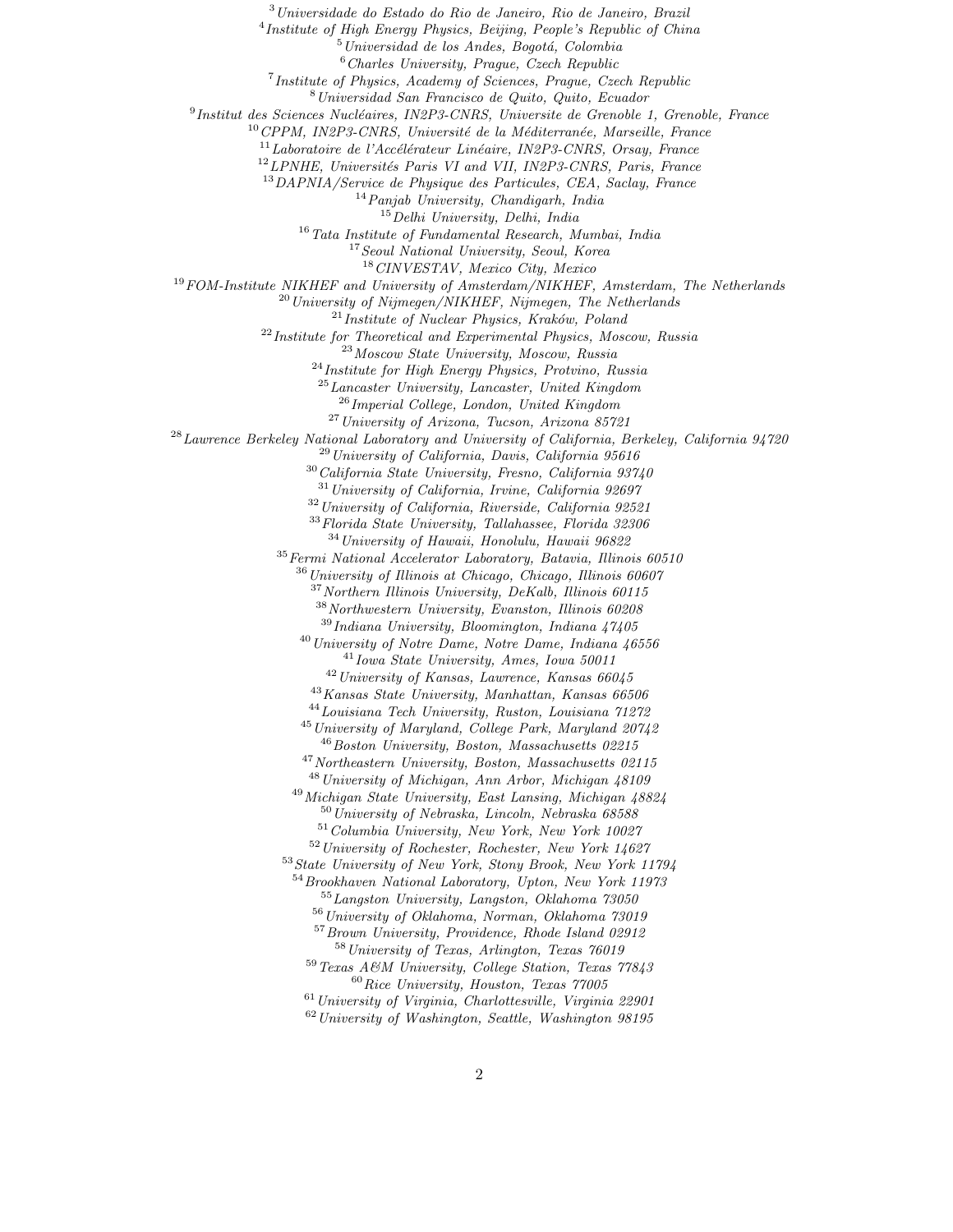<sup>3</sup> Universidade do Estado do Rio de Janeiro, Rio de Janeiro, Brazil<br>
<sup>4</sup> Institute of High Energy Physics, Beijing, People's Republic of China<br>
<sup>5</sup> Universidad de los Andes, Bogotá, Colombia<br>
<sup>6</sup> Charles University, Prag

<sup>18</sup> CINVESTAV, Mexico City, Mexico<br><sup>19</sup> FOM-Institute NIKHEF and University of Amsterdam/NIKHEF, Amsterdam, The Netherlands<br><sup>20</sup> University of Nijmegen/NIKHEF, Nijmegen, The Netherlands<br><sup>21</sup> Institute of Nuclear Physics,

 $^{25}$ Lancaster University, Lancaster, United Kingdom<br> $^{26}$ Imperial College, London, United Kingdom

<sup>27</sup> University of Arizona, Tucson, Arizona 85721<br><sup>28</sup> Lawrence Berkeley National Laboratory and University of California, Berkeley, California 94720<br><sup>29</sup> University of California, Davis, California 95616<br><sup>30</sup> California

 $32$  University of California, Riverside, California 92521

<sup>33</sup>Florida State University, Tallahassee, Florida 32306

 $$^{34}\,University$  of Hawaii, Honolulu, Hawaii 96822  $^{35}\,Fermi$  National Accelerator Laboratory, Batavia, Illinois 60510

 $36$  University of Illinois at Chicago, Chicago, Illinois 60607

 $37$ Northern Illinois University, DeKalb, Illinois 60115

<sup>38</sup> Northwestern University, Evanston, Illinois 60208<br><sup>39</sup> Indiana University, Bloomington, Indiana 47405

<sup>40</sup> University of Notre Dame, Notre Dame, Indiana 46556<br><sup>41</sup> Iowa State University, Ames, Iowa 50011<br><sup>42</sup> University of Kansas, Lawrence, Kansas 66045<br><sup>43</sup> Kansas State University, Manhattan, Kansas 66506<br><sup>44</sup> Louisiana

<sup>47</sup> Northeastern University, Boston, Massachusetts 02115  $^{48}$  University of Michigan, Ann Arbor, Michigan 48109

 $\begin{array}{c} \textbf{^{49}}\, Michigan\; State\; University, \; East\; Lansing,\; Michigan\; 48824 \\ \textbf{^{50}}\, University\; of\; Nebraska,\; Lincoln,\; Nebraska\; 68588 \\ \textbf{^{51}}\,Columnia\; University,\; New\; York,\; New\; York\; 10027 \\ \textbf{^{52}}\, University\; of\; Rochester,\; Rochester,\; New\; York\; 14627 \\ \textbf{^{53}}\, State\; University\; of\; New\; York,\; Story\; Brook,\; New\; York\; 11794 \\ \end{array}$ 

 $^{54}$ Brookhaven National Laboratory, Upton, New York 11973<br> $^{55}$ Langston University, Langston, Oklahoma 73050<br> $^{56}$ University of Oklahoma, Norman, Oklahoma 73019

<sup>57</sup>Brown University, Providence, Rhode Island 02912

<sup>58</sup>University of Texas, Arlington, Texas 76019<br><sup>59</sup>Texas A&M University, College Station, Texas 77843<br><sup>60</sup>Rice University, Houston, Texas 77005<br><sup>61</sup>University of Virginia, Charlottesville, Virginia 22901

 $62$  University of Washington, Seattle, Washington 98195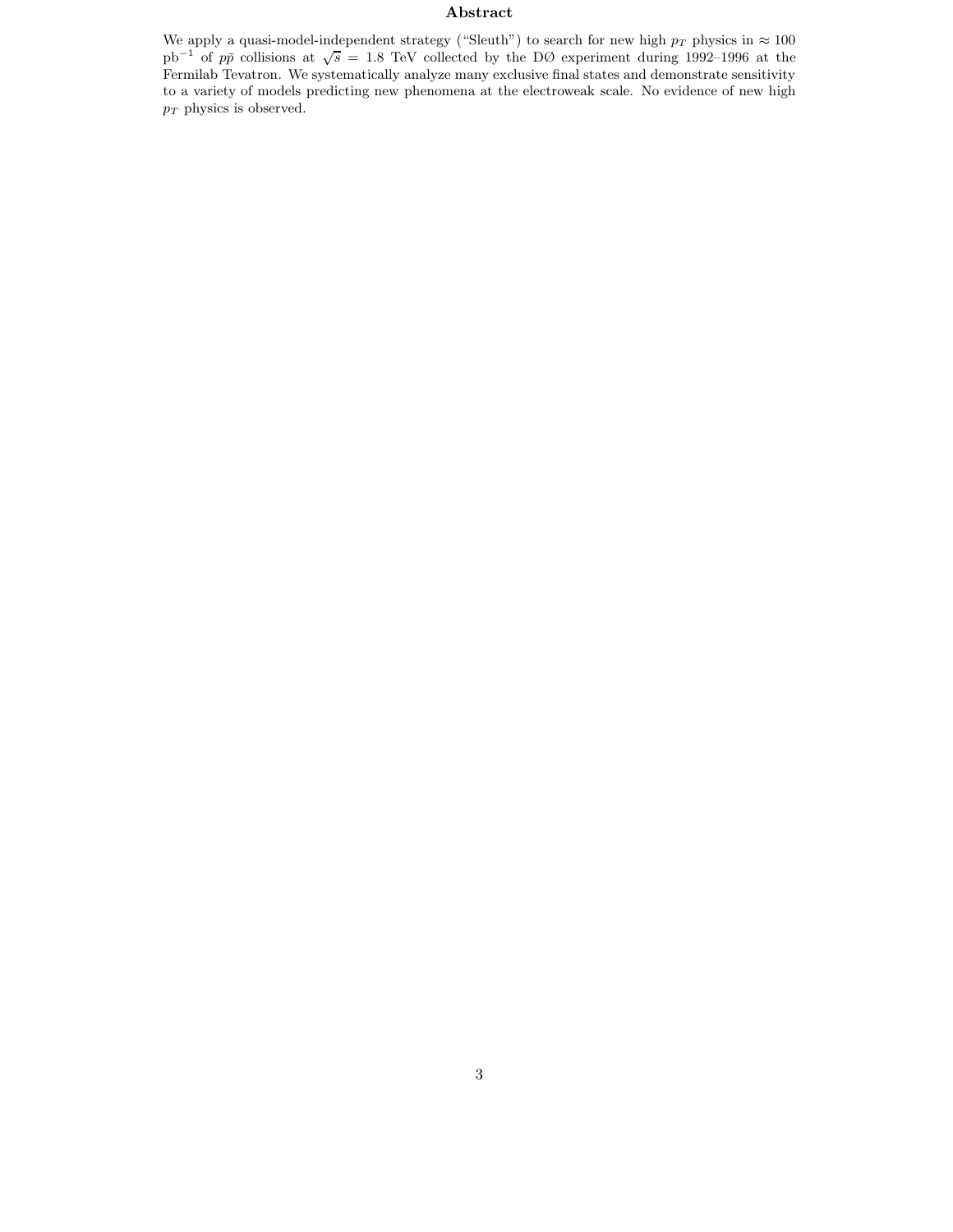#### **Abstract**

We apply a quasi-model-independent strategy ("Sleuth") to search for new high  $p_T$  physics in  $\approx 100$  pb<sup>-1</sup> of  $p\bar{p}$  collisions at  $\sqrt{s} = 1.8$  TeV collected by the DØ experiment during 1992–1996 at the Fermilab Tevatron. We systematically analyze many exclusive final states and demonstrate sensitivity to a variety of models predicting new phenomena at the electroweak scale. No evidence of new high  $p_T$  physics is observed.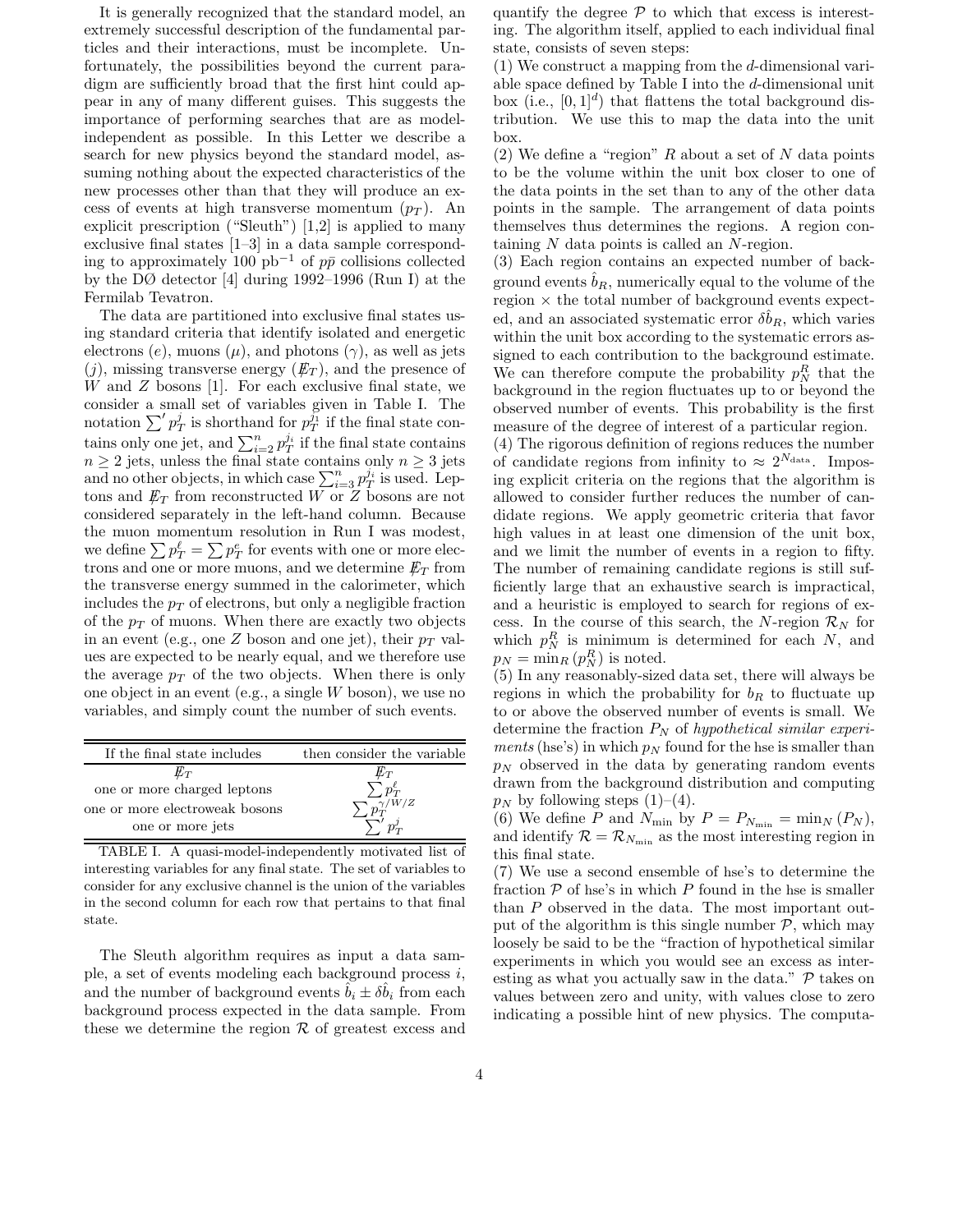It is generally recognized that the standard model, an extremely successful description of the fundamental particles and their interactions, must be incomplete. Unfortunately, the possibilities beyond the current paradigm are sufficiently broad that the first hint could appear in any of many different guises. This suggests the importance of performing searches that are as modelindependent as possible. In this Letter we describe a search for new physics beyond the standard model, assuming nothing about the expected characteristics of the new processes other than that they will produce an excess of events at high transverse momentum  $(p_T)$ . An explicit prescription ("Sleuth") [1,2] is applied to many exclusive final states [1–3] in a data sample corresponding to approximately 100 pb<sup>-1</sup> of  $p\bar{p}$  collisions collected by the DØ detector [4] during 1992–1996 (Run I) at the Fermilab Tevatron.

The data are partitioned into exclusive final states using standard criteria that identify isolated and energetic electrons (e), muons ( $\mu$ ), and photons ( $\gamma$ ), as well as jets  $(j)$ , missing transverse energy  $(\not\mathbb{E}_T)$ , and the presence of  $W$  and  $Z$  bosons [1]. For each exclusive final state, we consider a small set of variables given in Table I. The notation  $\sum' p_T^j$  is shorthand for  $p_T^{j_1}$  if the final state contains only one jet, and  $\sum_{i=2}^{n} p_T^{j_i}$  if the final state contains  $n \geq 2$  jets, unless the final state contains only  $n \geq 3$  jets and no other objects, in which case  $\sum_{i=3}^{n} p_T^{j_i}$  is used. Leptons and  $\not\hspace{-1.2mm}E_{T}$  from reconstructed W or  $Z$  bosons are not considered separately in the left-hand column. Because the muon momentum resolution in Run I was modest, we define  $\sum p_T^{\ell} = \sum p_T^e$  for events with one or more electrons and one or more muons, and we determine  $\not\hspace{-1.2mm}E_{T}$  from the transverse energy summed in the calorimeter, which includes the  $p_T$  of electrons, but only a negligible fraction of the  $p_T$  of muons. When there are exactly two objects in an event (e.g., one Z boson and one jet), their  $p_T$  values are expected to be nearly equal, and we therefore use the average  $p_T$  of the two objects. When there is only one object in an event (e.g., a single W boson), we use no variables, and simply count the number of such events.

| If the final state includes    | then consider the variable |
|--------------------------------|----------------------------|
| $\not\!\!E_T$                  | Ëт                         |
| one or more charged leptons    |                            |
| one or more electroweak bosons | $\sqrt{\frac{\gamma}{m}}$  |
| one or more jets               |                            |

TABLE I. A quasi-model-independently motivated list of interesting variables for any final state. The set of variables to consider for any exclusive channel is the union of the variables in the second column for each row that pertains to that final state.

The Sleuth algorithm requires as input a data sample, a set of events modeling each background process  $i$ , and the number of background events  $\hat{b}_i \pm \delta \hat{b}_i$  from each background process expected in the data sample. From these we determine the region  $R$  of greatest excess and

quantify the degree  $P$  to which that excess is interesting. The algorithm itself, applied to each individual final state, consists of seven steps:

(1) We construct a mapping from the d-dimensional variable space defined by Table I into the d-dimensional unit box (i.e.,  $[0, 1]^d$ ) that flattens the total background distribution. We use this to map the data into the unit box.

(2) We define a "region"  $R$  about a set of  $N$  data points to be the volume within the unit box closer to one of the data points in the set than to any of the other data points in the sample. The arrangement of data points themselves thus determines the regions. A region containing N data points is called an N-region.

(3) Each region contains an expected number of background events  $\hat{b}_R$ , numerically equal to the volume of the region  $\times$  the total number of background events expected, and an associated systematic error  $\delta b_R$ , which varies within the unit box according to the systematic errors assigned to each contribution to the background estimate. We can therefore compute the probability  $p_N^R$  that the background in the region fluctuates up to or beyond the observed number of events. This probability is the first measure of the degree of interest of a particular region.

(4) The rigorous definition of regions reduces the number of candidate regions from infinity to  $\approx 2^{N_{\text{data}}}$ . Imposing explicit criteria on the regions that the algorithm is allowed to consider further reduces the number of candidate regions. We apply geometric criteria that favor high values in at least one dimension of the unit box, and we limit the number of events in a region to fifty. The number of remaining candidate regions is still sufficiently large that an exhaustive search is impractical, and a heuristic is employed to search for regions of excess. In the course of this search, the N-region  $\mathcal{R}_N$  for which  $p_N^R$  is minimum is determined for each  $N$ , and  $p_N = \min_R (p_N^R)$  is noted.

(5) In any reasonably-sized data set, there will always be regions in which the probability for  $b_R$  to fluctuate up to or above the observed number of events is small. We determine the fraction P<sup>N</sup> of *hypothetical similar experiments* (hse's) in which  $p_N$  found for the hse is smaller than  $p_N$  observed in the data by generating random events drawn from the background distribution and computing  $p_N$  by following steps (1)–(4).

(6) We define P and  $N_{\min}$  by  $P = P_{N_{\min}} = \min_N (P_N)$ , and identify  $\mathcal{R} = \mathcal{R}_{N_{\text{min}}}$  as the most interesting region in this final state.

(7) We use a second ensemble of hse's to determine the fraction  $P$  of hse's in which  $P$  found in the hse is smaller than P observed in the data. The most important output of the algorithm is this single number  $P$ , which may loosely be said to be the "fraction of hypothetical similar experiments in which you would see an excess as interesting as what you actually saw in the data."  $P$  takes on values between zero and unity, with values close to zero indicating a possible hint of new physics. The computa-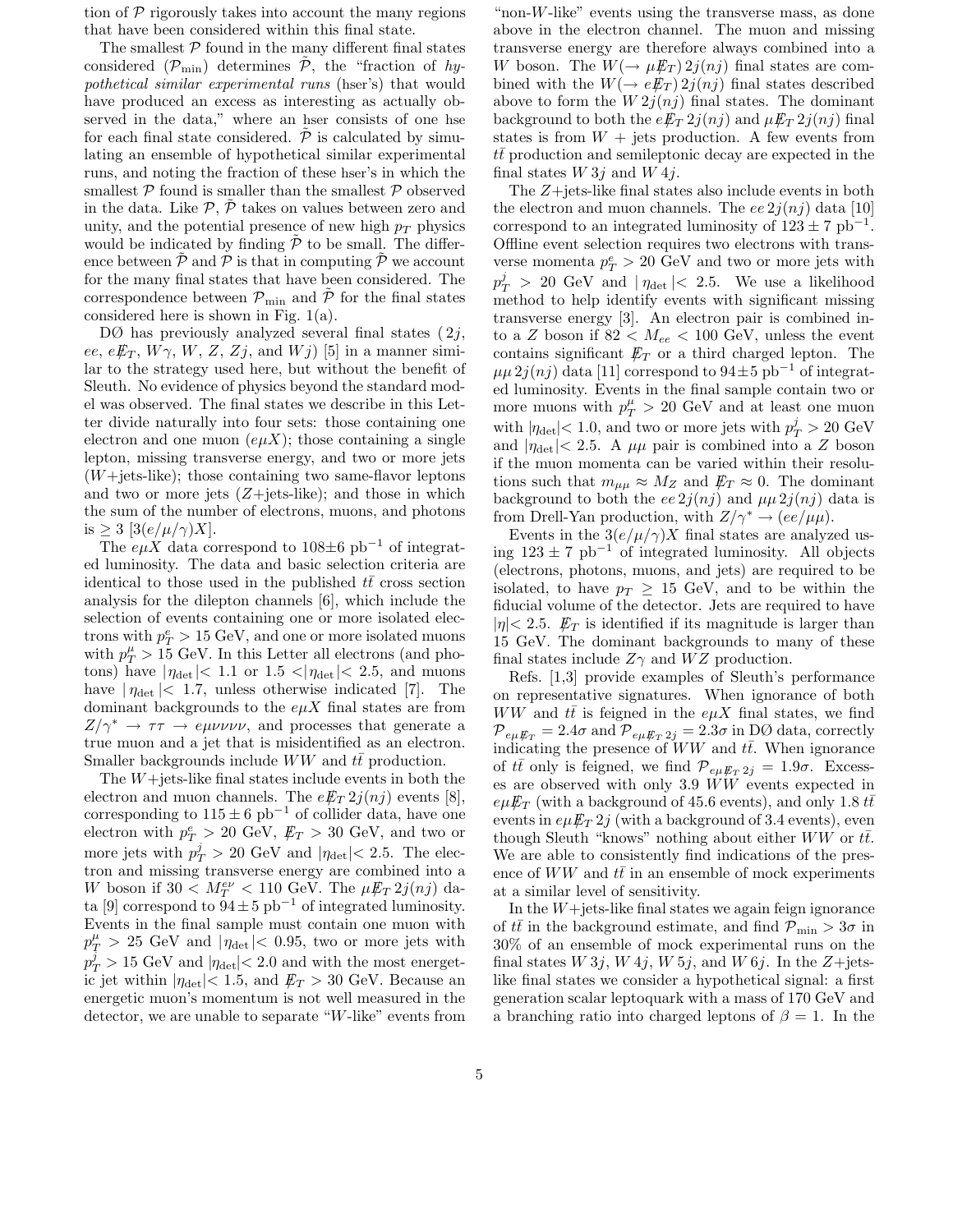tion of  $P$  rigorously takes into account the many regions that have been considered within this final state.

The smallest  $P$  found in the many different final states considered  $(\mathcal{P}_{\text{min}})$  determines  $\mathcal{P}_{\text{min}}$ , the "fraction of *hypothetical similar experimental runs* (hser's) that would have produced an excess as interesting as actually observed in the data," where an hser consists of one hse for each final state considered.  $\tilde{\mathcal{P}}$  is calculated by simulating an ensemble of hypothetical similar experimental runs, and noting the fraction of these hser's in which the smallest  $P$  found is smaller than the smallest  $P$  observed in the data. Like  $P$ ,  $P$  takes on values between zero and unity, and the potential presence of new high  $p_T$  physics would be indicated by finding  $\tilde{\mathcal{P}}$  to be small. The difference between  $P$  and  $P$  is that in computing  $P$  we account for the many final states that have been considered. The correspondence between  $\mathcal{P}_{\text{min}}$  and  $\tilde{\mathcal{P}}$  for the final states considered here is shown in Fig. 1(a).

 $D\varnothing$  has previously analyzed several final states  $(2j,$ ee,  $e\rlap{\,/}E_T$ ,  $W\gamma$ ,  $W$ ,  $Z$ ,  $Zj$ , and  $Wj$ ) [5] in a manner similar to the strategy used here, but without the benefit of Sleuth. No evidence of physics beyond the standard model was observed. The final states we describe in this Letter divide naturally into four sets: those containing one electron and one muon  $(e\mu X)$ ; those containing a single lepton, missing transverse energy, and two or more jets  $(W + \text{jets-like})$ ; those containing two same-flavor leptons and two or more jets  $(Z+{\text{jets}}-{\text{like}});$  and those in which the sum of the number of electrons, muons, and photons is  $\geq 3$  [3(e/ $\mu/\gamma$ )X].

The  $e\mu X$  data correspond to 108 $\pm 6$  pb<sup>-1</sup> of integrated luminosity. The data and basic selection criteria are identical to those used in the published  $t\bar{t}$  cross section analysis for the dilepton channels [6], which include the selection of events containing one or more isolated electrons with  $p_T^e > 15 \text{ GeV}$ , and one or more isolated muons with  $p_T^{\mu} > 15$  GeV. In this Letter all electrons (and photons) have  $|\eta_{\text{det}}|$  < 1.1 or 1.5 <  $|\eta_{\text{det}}|$  < 2.5, and muons have  $|\eta_{\text{det}}|$  < 1.7, unless otherwise indicated [7]. The dominant backgrounds to the  $e\mu X$  final states are from  $Z/\gamma^* \rightarrow \tau \tau \rightarrow e \mu \nu \nu \nu$ , and processes that generate a true muon and a jet that is misidentified as an electron. Smaller backgrounds include  $WW$  and  $t\bar{t}$  production.

The  $W +$ jets-like final states include events in both the electron and muon channels. The  $e E_T 2i(nj)$  events [8], corresponding to  $115 \pm 6$  pb<sup>-1</sup> of collider data, have one electron with  $p_T^e > 20$  GeV,  $E_T > 30$  GeV, and two or more jets with  $p_T^j > 20$  GeV and  $|\eta_{\text{det}}| < 2.5$ . The electron and missing transverse energy are combined into a W boson if  $30 < M_T^{ev} < 110$  GeV. The  $\mu E_T 2i(nj)$  data [9] correspond to  $94 \pm 5$  pb<sup>-1</sup> of integrated luminosity. Events in the final sample must contain one muon with  $p_T^{\mu} > 25 \text{ GeV}$  and  $|\eta_{\text{det}}| < 0.95$ , two or more jets with  $p_T^j > 15 \text{ GeV}$  and  $|\eta_{\text{det}}| < 2.0$  and with the most energetic jet within  $|\eta_{\text{det}}|$  < 1.5, and  $\not\mathbb{E}_T > 30$  GeV. Because an energetic muon's momentum is not well measured in the detector, we are unable to separate "W-like" events from

"non- $W$ -like" events using the transverse mass, as done above in the electron channel. The muon and missing transverse energy are therefore always combined into a W boson. The  $W(\to \mu \not\!\! E_T) 2j(nj)$  final states are combined with the  $W(\rightarrow eE_T) 2j(nj)$  final states described above to form the  $W2j(nj)$  final states. The dominant background to both the  $e/\pounds_T 2j(nj)$  and  $\mu/\pounds_T 2j(nj)$  final states is from  $W +$  jets production. A few events from  $t\bar{t}$  production and semileptonic decay are expected in the final states  $W 3j$  and  $W 4j$ .

The Z+jets-like final states also include events in both the electron and muon channels. The ee  $2i(n_i)$  data [10] correspond to an integrated luminosity of  $123 \pm 7$  pb<sup>-1</sup>. Offline event selection requires two electrons with transverse momenta  $p_T^e > 20 \text{ GeV}$  and two or more jets with  $p_T^j > 20$  GeV and  $|\eta_{\text{det}}| < 2.5$ . We use a likelihood method to help identify events with significant missing transverse energy [3]. An electron pair is combined into a Z boson if  $82 < M_{ee} < 100$  GeV, unless the event contains significant  $\not\hspace{-.15cm}/\,\vec{E}_T$  or a third charged lepton. The  $\mu\mu 2j(nj)$  data [11] correspond to  $94\pm5$  pb<sup>-1</sup> of integrated luminosity. Events in the final sample contain two or more muons with  $p_T^{\mu} > 20$  GeV and at least one muon with  $|\eta_{\text{det}}|$  < 1.0, and two or more jets with  $p_T^j > 20 \text{ GeV}$ and  $|\eta_{\text{det}}|$  < 2.5. A  $\mu\mu$  pair is combined into a Z boson if the muon momenta can be varied within their resolutions such that  $m_{\mu\mu} \approx M_Z$  and  $\not{\!\! E}_T \approx 0$ . The dominant background to both the ee  $2j(nj)$  and  $\mu\mu 2j(nj)$  data is from Drell-Yan production, with  $Z/\gamma^* \to (ee/\mu\mu)$ .

Events in the  $3(e/\mu/\gamma)X$  final states are analyzed using 123 <sup>±</sup> 7 pb−<sup>1</sup> of integrated luminosity. All objects (electrons, photons, muons, and jets) are required to be isolated, to have  $p_T \geq 15$  GeV, and to be within the fiducial volume of the detector. Jets are required to have  $|\eta|$  < 2.5.  $E_T$  is identified if its magnitude is larger than 15 GeV. The dominant backgrounds to many of these final states include  $Z\gamma$  and  $WZ$  production.

Refs. [1,3] provide examples of Sleuth's performance on representative signatures. When ignorance of both  $WW$  and  $t\bar{t}$  is feigned in the  $e\mu X$  final states, we find  $\mathcal{P}_{e\mu}\mathcal{F}_T = 2.4\sigma$  and  $\mathcal{P}_{e\mu}\mathcal{F}_T = 2.3\sigma$  in DØ data, correctly indicating the presence of  $WW$  and  $t\bar{t}$ . When ignorance of  $t\bar{t}$  only is feigned, we find  $\mathcal{P}_{e\mu}\mathcal{F}_{T}$   $2j = 1.9\sigma$ . Excesses are observed with only 3.9 WW events expected in  $e\mu E_T$  (with a background of 45.6 events), and only 1.8  $t\bar{t}$ events in  $e\mu E_T 2j$  (with a background of 3.4 events), even though Sleuth "knows" nothing about either  $WW$  or  $t\bar{t}$ . We are able to consistently find indications of the presence of  $WW$  and  $t\bar{t}$  in an ensemble of mock experiments at a similar level of sensitivity.

In the  $W +$ jets-like final states we again feign ignorance of  $t\bar{t}$  in the background estimate, and find  $\overline{\mathcal{P}}_{\min} > 3\sigma$  in 30% of an ensemble of mock experimental runs on the final states  $W 3j$ ,  $W 4j$ ,  $W 5j$ , and  $W 6j$ . In the  $Z + \text{jets}$ like final states we consider a hypothetical signal: a first generation scalar leptoquark with a mass of 170 GeV and a branching ratio into charged leptons of  $\beta = 1$ . In the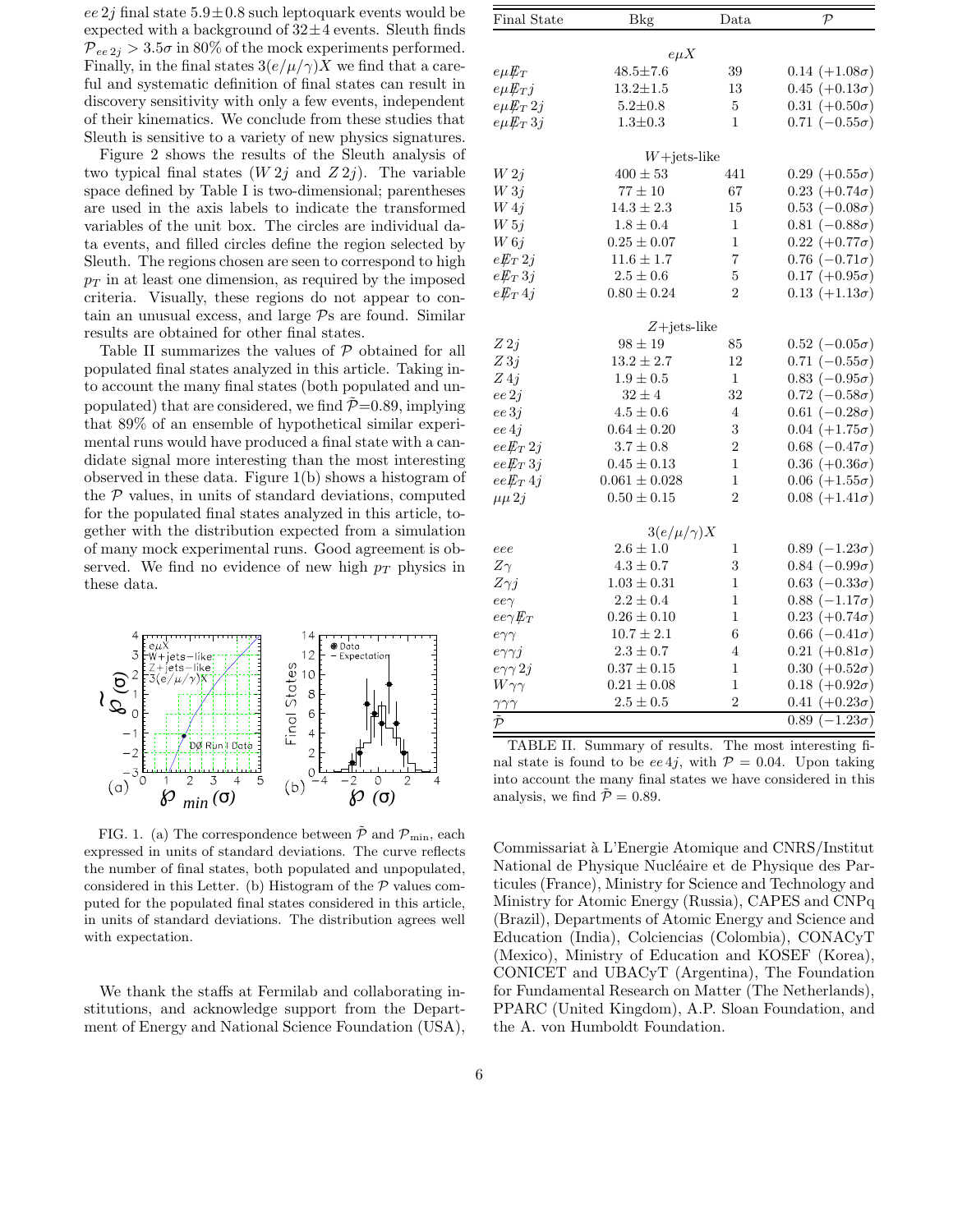ee 2j final state  $5.9\pm0.8$  such leptoquark events would be expected with a background of  $32 \pm 4$  events. Sleuth finds  $\mathcal{P}_{ee\,2i} > 3.5\sigma$  in 80% of the mock experiments performed. Finally, in the final states  $3(e/\mu/\gamma)X$  we find that a careful and systematic definition of final states can result in discovery sensitivity with only a few events, independent of their kinematics. We conclude from these studies that Sleuth is sensitive to a variety of new physics signatures.

Figure 2 shows the results of the Sleuth analysis of two typical final states  $(W 2j$  and  $Z 2j)$ . The variable space defined by Table I is two-dimensional; parentheses are used in the axis labels to indicate the transformed variables of the unit box. The circles are individual data events, and filled circles define the region selected by Sleuth. The regions chosen are seen to correspond to high  $p_T$  in at least one dimension, as required by the imposed criteria. Visually, these regions do not appear to contain an unusual excess, and large  $\mathcal{P}_s$  are found. Similar results are obtained for other final states.

Table II summarizes the values of P obtained for all populated final states analyzed in this article. Taking into account the many final states (both populated and unpopulated) that are considered, we find  $P=0.89$ , implying that 89% of an ensemble of hypothetical similar experimental runs would have produced a final state with a candidate signal more interesting than the most interesting observed in these data. Figure 1(b) shows a histogram of the  $P$  values, in units of standard deviations, computed for the populated final states analyzed in this article, together with the distribution expected from a simulation of many mock experimental runs. Good agreement is observed. We find no evidence of new high  $p_T$  physics in these data.



FIG. 1. (a) The correspondence between  $\tilde{\mathcal{P}}$  and  $\mathcal{P}_{\min}$ , each expressed in units of standard deviations. The curve reflects the number of final states, both populated and unpopulated, considered in this Letter. (b) Histogram of the  $P$  values computed for the populated final states considered in this article, in units of standard deviations. The distribution agrees well with expectation.

We thank the staffs at Fermilab and collaborating institutions, and acknowledge support from the Department of Energy and National Science Foundation (USA),

| Final State                | <b>Bkg</b>                 | Data           | ${\cal P}$             |  |
|----------------------------|----------------------------|----------------|------------------------|--|
|                            |                            |                |                        |  |
| $e\mu E_T$                 | $e\mu X$<br>$48.5 \pm 7.6$ | $39\,$         | $0.14 (+1.08\sigma)$   |  |
| $e\mu E_T j$               | $13.2 \pm 1.5$             | 13             | $0.45 (+0.13\sigma)$   |  |
| $e\mu E_T 2j$              | $5.2 \pm 0.8$              | $\bf 5$        | $0.31 (+0.50\sigma)$   |  |
| $e\mu E_T 3j$              | $1.3 \pm 0.3$              | 1              | $0.71 (-0.55\sigma)$   |  |
|                            |                            |                |                        |  |
|                            | $W+{\rm jets\text{-}like}$ |                |                        |  |
| W2j                        | $400 \pm 53$               | 441            | $0.29 (+0.55\sigma)$   |  |
| W3j                        | $77 \pm 10$                | 67             | $0.23 (+0.74\sigma)$   |  |
| W <sub>4j</sub>            | $14.3 \pm 2.3$             | 15             | $0.53$ $(-0.08\sigma)$ |  |
| W 5j                       | $1.8 \pm 0.4$              | $\mathbf{1}$   | $0.81 (-0.88\sigma)$   |  |
| $W_0$                      | $0.25 \pm 0.07$            | 1              | $0.22 (+0.77\sigma)$   |  |
| $eE_T 2j$                  | $11.6 \pm 1.7$             | 7              | $0.76$ $(-0.71\sigma)$ |  |
| $eE_T 3j$                  | $2.5 \pm 0.6$              | 5              | $0.17 (+0.95\sigma)$   |  |
| $eE_T 4j$                  | $0.80 \pm 0.24$            | $\overline{2}$ | $0.13 (+1.13\sigma)$   |  |
| $Z+{\rm jets\text{-}like}$ |                            |                |                        |  |
| Z2j                        | $98 \pm 19$                | 85             | $0.52$ $(-0.05\sigma)$ |  |
| Z3j                        | $13.2 \pm 2.7$             | 12             | $0.71 (-0.55\sigma)$   |  |
| Z4j                        | $1.9 \pm 0.5$              | 1              | $0.83 (-0.95\sigma)$   |  |
| ee2j                       | $32\pm4$                   | 32             | $0.72 (-0.58\sigma)$   |  |
| ee3j                       | $4.5\pm0.6$                | $\overline{4}$ | $0.61 (-0.28\sigma)$   |  |
| ee4j                       | $0.64 \pm 0.20$            | 3              | $0.04 (+1.75\sigma)$   |  |
| $eeE_T 2j$                 | $3.7 \pm 0.8$              | $\overline{2}$ | $0.68$ $(-0.47\sigma)$ |  |
| $ee \rlap{\,/}E_T$ 3j      | $0.45 \pm 0.13$            | $\mathbf{1}$   | $0.36 (+0.36\sigma)$   |  |
| $eeE_T 4j$                 | $0.061 \pm 0.028$          | $\mathbf{1}$   | $0.06 (+1.55\sigma)$   |  |
| $\mu\mu 2j$                | $0.50 \pm 0.15$            | $\overline{2}$ | $0.08 (+1.41\sigma)$   |  |
|                            |                            |                |                        |  |
|                            | $3(e/\mu/\gamma)X$         |                |                        |  |
| eee                        | $2.6 \pm 1.0$              | 1              | $0.89 (-1.23\sigma)$   |  |
| $Z\gamma$                  | $4.3\pm0.7$                | 3              | $0.84 (-0.99\sigma)$   |  |
| $Z\gamma j$                | $1.03 \pm 0.31$            | 1              | $0.63 (-0.33\sigma)$   |  |
| $ee\gamma$                 | $2.2 \pm 0.4$              | $\mathbf{1}$   | $0.88 (-1.17\sigma)$   |  |
| $ee\gamma E_T$             | $0.26 \pm 0.10$            | $\mathbf{1}$   | $0.23 (+0.74\sigma)$   |  |
| $e\gamma\gamma$            | $10.7 \pm 2.1$             | 6              | $0.66$ $(-0.41\sigma)$ |  |
| $e\gamma\gamma j$          | $2.3\pm0.7$                | 4              | $0.21 (+0.81\sigma)$   |  |
| $e\gamma\gamma 2j$         | $0.37 \pm 0.15$            | 1              | $0.30 (+0.52\sigma)$   |  |
| $W\gamma\gamma$            | $0.21 \pm 0.08$            | $\mathbf{1}$   | $0.18 (+0.92\sigma)$   |  |
| $\gamma\gamma\gamma$       | $2.5\pm0.5$                | $\overline{2}$ | $0.41 (+0.23\sigma)$   |  |
| $\tilde{\mathcal{P}}$      |                            |                | $0.89 (-1.23\sigma)$   |  |

TABLE II. Summary of results. The most interesting final state is found to be  $ee4j$ , with  $P = 0.04$ . Upon taking into account the many final states we have considered in this analysis, we find  $\tilde{\mathcal{P}} = 0.89$ .

Commissariat `a L'Energie Atomique and CNRS/Institut National de Physique Nucléaire et de Physique des Particules (France), Ministry for Science and Technology and Ministry for Atomic Energy (Russia), CAPES and CNPq (Brazil), Departments of Atomic Energy and Science and Education (India), Colciencias (Colombia), CONACyT (Mexico), Ministry of Education and KOSEF (Korea), CONICET and UBACyT (Argentina), The Foundation for Fundamental Research on Matter (The Netherlands), PPARC (United Kingdom), A.P. Sloan Foundation, and the A. von Humboldt Foundation.